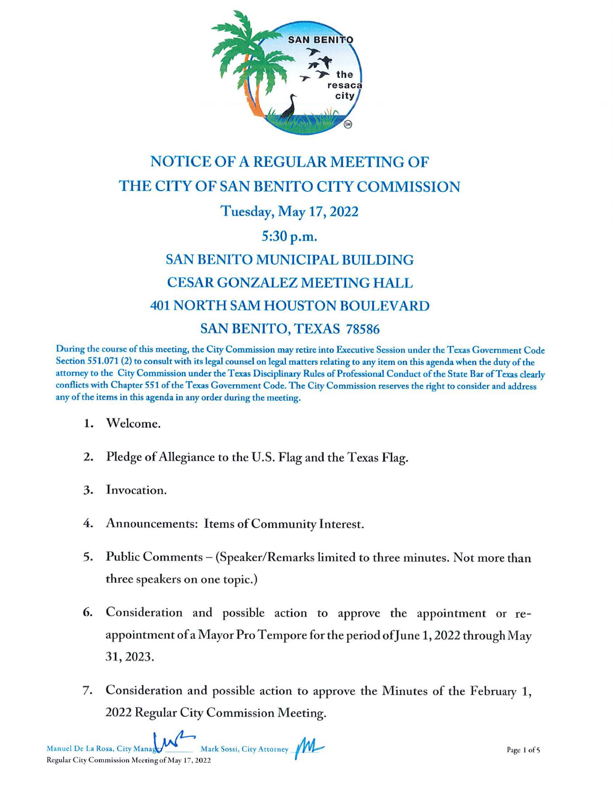

## **NOTICE OF A REGULAR MEETING OF** THE CITY OF SAN BENITO CITY COMMISSION **Tuesday, May 17, 2022**

## 5:30 p.m.

## **SAN BENITO MUNICIPAL BUILDING CESAR GONZALEZ MEETING HALL 401 NORTH SAM HOUSTON BOULEVARD SAN BENITO, TEXAS 78586**

During the course of this meeting, the City Commission may retire into Executive Session under the Texas Government Code Section 551.071 (2) to consult with its legal counsel on legal matters relating to any item on this agenda when the duty of the attorney to the City Commission under the Texas Disciplinary Rules of Professional Conduct of the State Bar of Texas clearly conflicts with Chapter 551 of the Texas Government Code. The City Commission reserves the right to consider and address any of the items in this agenda in any order during the meeting.

- Welcome. 1.
- 2. Pledge of Allegiance to the U.S. Flag and the Texas Flag.
- 3. Invocation.
- 4. Announcements: Items of Community Interest.
- 5. Public Comments – (Speaker/Remarks limited to three minutes. Not more than three speakers on one topic.)
- Consideration and possible action to approve the appointment or re-6. appointment of a Mayor Pro Tempore for the period of June 1, 2022 through May 31, 2023.
- 7. Consideration and possible action to approve the Minutes of the February 1, 2022 Regular City Commission Meeting.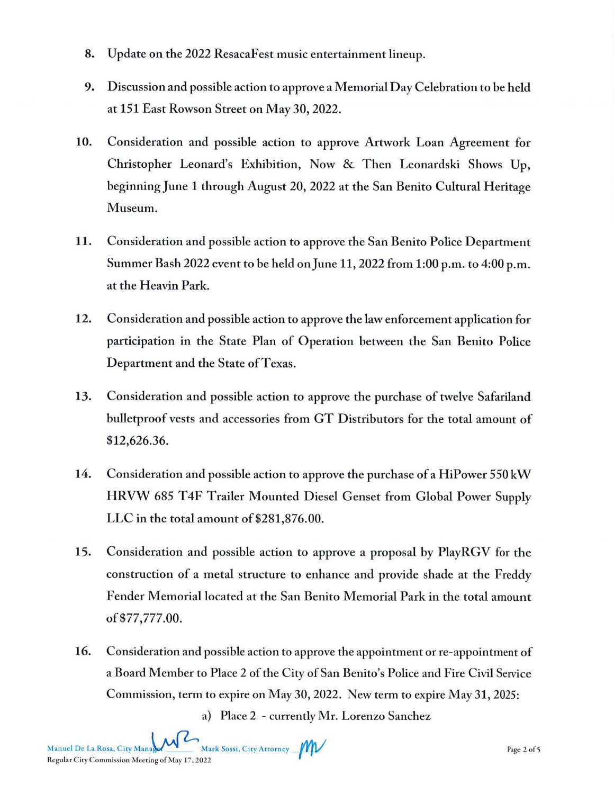- 8. Update on the 2022 ResacaFest music entertainment lineup.
- 9. Discussion and possible action to approve a Memorial Day Celebration to be held at 151 East Rowson Street on May 30, 2022.
- **10.** Consideration and possible action to approve Artwork Loan Agreement for Christopher Leonard's Exhibition, Now & Then Leonardski Shows Up, beginning June 1 through August 20, 2022 at the San Benito Cultural Heritage Museum.
- **11.** Consideration and possible action to approve the San Benito Police Department Summer Bash 2022 event to be held onJune 11, 2022 from 1:00 p.m. to 4:00 p.m. at the Heavin Park.
- **12.** Consideration and possible action to approve the lawenforcement application for participation in the State Plan of Operation between the San Benito Police Department and the State of Texas.
- 13. Consideration and possible action to approve the purchase of twelve Safariland bulletproof vests and accessories from GT Distributors for the total amount of \$12,626.36.
- 14. Consideration and possible action to approve the purchase of a HiPower *550* kW HRVW 685 T4F Trailer Mounted Diesel Genset from Global Power Supply LLC in the total amount of \$281,876.00.
- 15. Consideration and possible action to approve a proposal by PlayRGV for the construction of a metal structure to enhance and provide shade at the Freddy Fender Memorial located at the San Benito Memorial Park in the total amount of\$77,777.00.
- **16.** Consideration and possible action to approve the appointment or re-appointment of a Board Member to Place 2 of the City of San Benito's Police and Fire Civil Service Commission, term to expire on May 30, 2022. New term to expire May 31, 2025:

a) Place 2 - currently Mr. Lorenzo Sanchez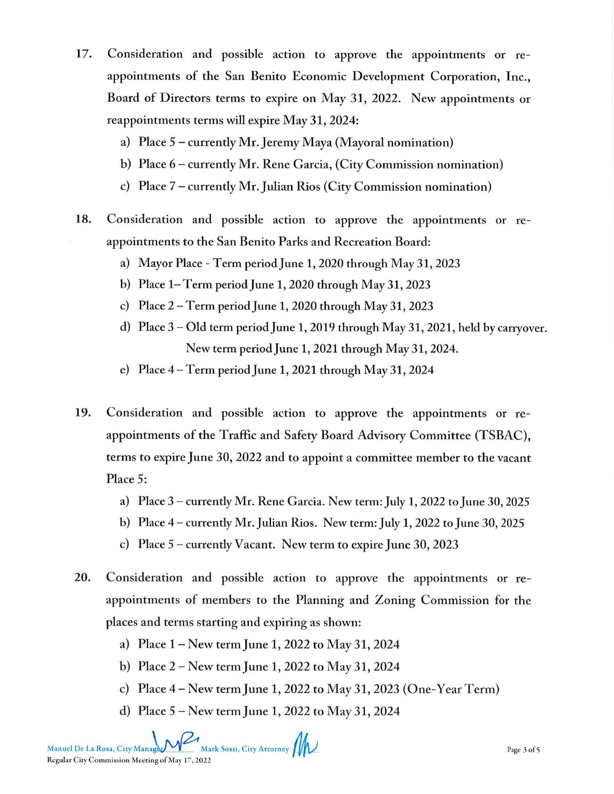- 17. Consideration and possible action to approve the appointments or reappointments of the San Benito Economic Development Corporation, lnc., Board of Directors terms to expire on May 31, 2022. New appointments or reappointments terms will expire May 31, 2024:
	- a) Place 5 currently Mr. Jeremy Maya (Mayoral nomination)
	- b) Place 6- currently Mr. Rene Garcia, (City Commission nomination)
	- c) Place 7 currently Mr.Julian Rios (City Commission nomination)
- **18.** Consideration and possible action to approve the appointments or reappointments to the San Benito Parks and Recreation Board:
	- a) Mayor Place Term period June 1, 2020 through May 31, 2023
	- b) Place  $1-$  Term period June 1, 2020 through May 31, 2023
	- c) Place 2-Term period]une 1, 2020 through May 31, 2023
	- d) Place 3 Old term period June 1, 2019 through May 31, 2021, held by carryover. New term period June 1, 2021 through May 31, 2024.
	- e) Place 4-Term period]une **1,** 2021 through May 31, 2024
- **19.** Consideration and possible action to approve the appointments or reappointments of the Traffic and Safety Board Advisory Committee (TSBAC), terms to expire June 30, 2022 and to appoint a committee member to the vacant Place 5:
	- a) Place 3 currendy Mr. Rene Garcia. New term: July 1, 2022 to June 30, 2025
	- b) Place 4 currently Mr. Julian Rios. New term: July 1, 2022 to June 30, 2025
	- c) Place *5*  currently Vacant. New term to expire June 30, 2023
- 20. Consideration and possible action to approve the appointments or reappointments of members to the Planning and Zoning Commission for the places and terms starting and expiring as shown:
	- a) Place 1 New termJune 1, 2022 to May 31, 2024
	- b) Place 2- New term}une 1, 2022 to May 31, 2024
	- c) Place  $4$  New term June 1, 2022 to May 31, 2023 (One-Year Term)
	- d) Place *5*  New termJune 1, 2022 to May 31, 2024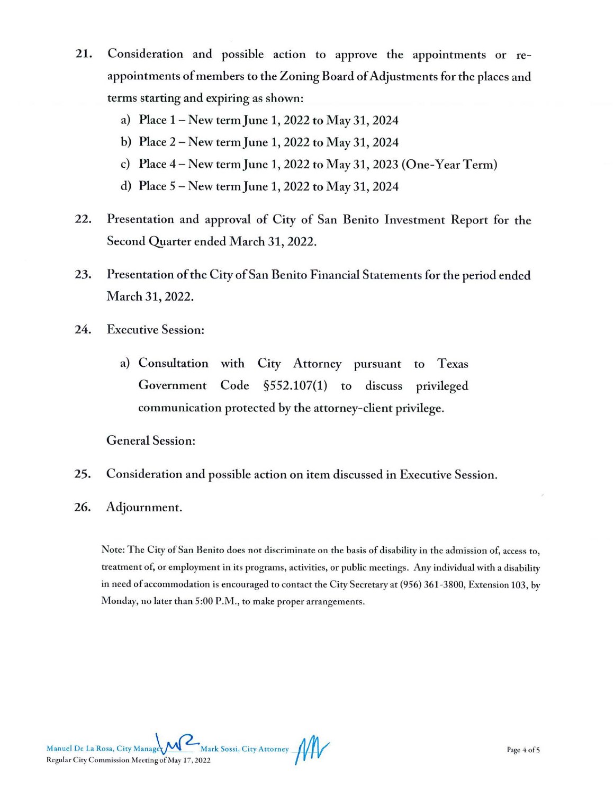- 21. Consideration and possible action to approve the appointments or reappointments of members to the Zoning Board of Adjustments for the places and terms starting and expiring as shown:
	- a) Place 1-New termJune 1, 2022 to May 31, 2024
	- b) Place 2- New termJune 1, 2022 to May 31, 2024
	- c) Place  $4$  New term June 1, 2022 to May 31, 2023 (One-Year Term)
	- d) Place *5*  New termJune 1, 2022 to May 31, 2024
- 22. Presentation and approval of City of San Benito lnvestment Report for the Second Quarter ended March 31, 2022.
- 23. Presentation of the City of San Benito Financial Statements for the period ended March 31, 2022.
- 24. Executive Session:
	- a) Consultation with City Attorney pursuant Government Code §552.107(1) to discuss Texas privileged communication protected by the attorney-client privilege.

General Session:

- 25. Consideration and possible action on item discussed in Executive Session.
- 26. Adjournment.

Note: The City of San Benito does not discriminate on the basis of disability in the admission of, access to, treatment of, or employment in its programs, activities, or public meetings. Any individual with a disability in need of accommodation is encouraged to contact the City Secretary at (956) 361-3800, Extension 103, by Monday, no later than 5:00 P.M., to make proper arrangements.

Manuel De La Rosa, City Manager Mark Sossi, City Attorney **11** Rcgular Ciry Commission ;\, ceזing of ;\lay 17, 20 22 / **y-r-v**